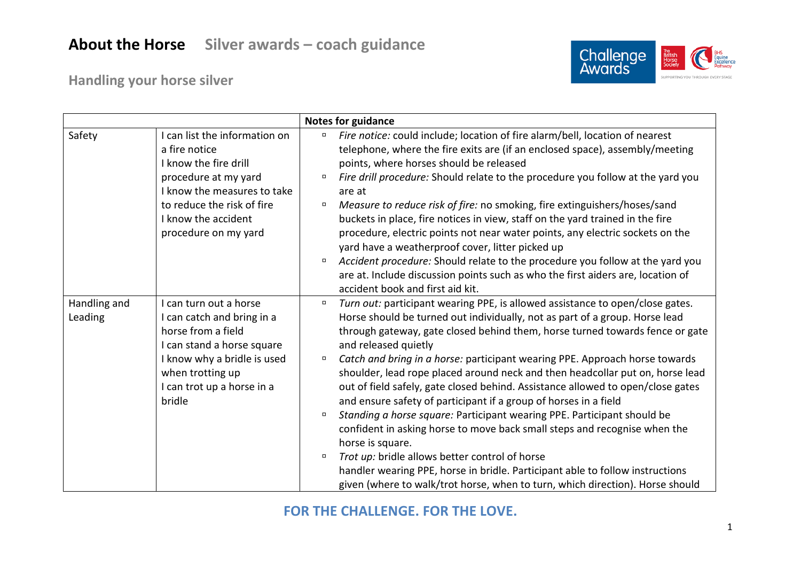

**Handling your horse silver**

|                         |                                                                                                                                                                                                             | <b>Notes for guidance</b>                                                                                                                                                                                                                                                                                                                                                                                                                                                                                                                                                                                                                                                                                                    |
|-------------------------|-------------------------------------------------------------------------------------------------------------------------------------------------------------------------------------------------------------|------------------------------------------------------------------------------------------------------------------------------------------------------------------------------------------------------------------------------------------------------------------------------------------------------------------------------------------------------------------------------------------------------------------------------------------------------------------------------------------------------------------------------------------------------------------------------------------------------------------------------------------------------------------------------------------------------------------------------|
| Safety                  | I can list the information on<br>a fire notice<br>I know the fire drill<br>procedure at my yard<br>I know the measures to take<br>to reduce the risk of fire<br>I know the accident<br>procedure on my yard | Fire notice: could include; location of fire alarm/bell, location of nearest<br>α.<br>telephone, where the fire exits are (if an enclosed space), assembly/meeting<br>points, where horses should be released<br>Fire drill procedure: Should relate to the procedure you follow at the yard you<br>$\Box$<br>are at<br>Measure to reduce risk of fire: no smoking, fire extinguishers/hoses/sand<br>$\Box$<br>buckets in place, fire notices in view, staff on the yard trained in the fire<br>procedure, electric points not near water points, any electric sockets on the<br>yard have a weatherproof cover, litter picked up<br>Accident procedure: Should relate to the procedure you follow at the yard you<br>$\Box$ |
|                         |                                                                                                                                                                                                             | are at. Include discussion points such as who the first aiders are, location of<br>accident book and first aid kit.                                                                                                                                                                                                                                                                                                                                                                                                                                                                                                                                                                                                          |
| Handling and<br>Leading | I can turn out a horse<br>I can catch and bring in a<br>horse from a field<br>I can stand a horse square                                                                                                    | Turn out: participant wearing PPE, is allowed assistance to open/close gates.<br>$\Box$<br>Horse should be turned out individually, not as part of a group. Horse lead<br>through gateway, gate closed behind them, horse turned towards fence or gate<br>and released quietly                                                                                                                                                                                                                                                                                                                                                                                                                                               |
|                         | I know why a bridle is used<br>when trotting up<br>I can trot up a horse in a<br>bridle                                                                                                                     | Catch and bring in a horse: participant wearing PPE. Approach horse towards<br>$\Box$<br>shoulder, lead rope placed around neck and then headcollar put on, horse lead<br>out of field safely, gate closed behind. Assistance allowed to open/close gates<br>and ensure safety of participant if a group of horses in a field<br>Standing a horse square: Participant wearing PPE. Participant should be<br>$\Box$                                                                                                                                                                                                                                                                                                           |
|                         |                                                                                                                                                                                                             | confident in asking horse to move back small steps and recognise when the<br>horse is square.<br>Trot up: bridle allows better control of horse<br>$\Box$<br>handler wearing PPE, horse in bridle. Participant able to follow instructions<br>given (where to walk/trot horse, when to turn, which direction). Horse should                                                                                                                                                                                                                                                                                                                                                                                                  |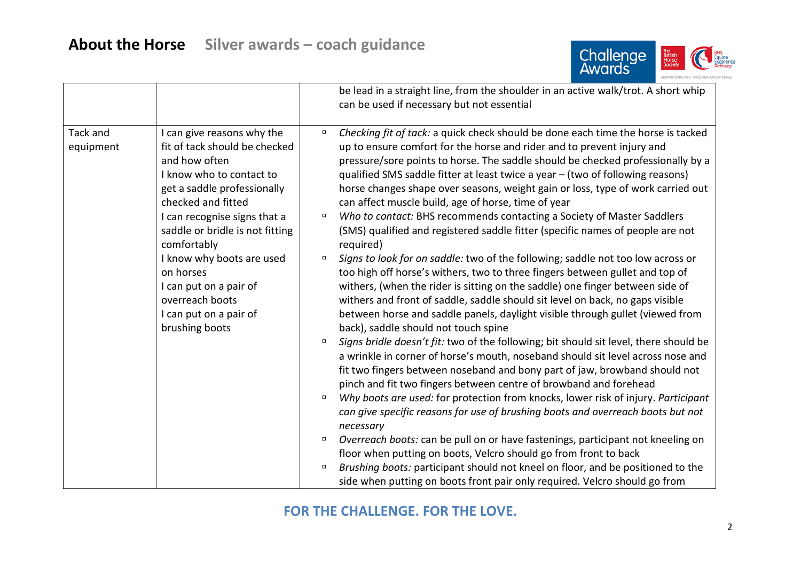

|                       |                                                                                                                                                                                                                                                                                                                                                                                    |                                                          | be lead in a straight line, from the shoulder in an active walk/trot. A short whip<br>can be used if necessary but not essential                                                                                                                                                                                                                                                                                                                                                                                                                                                                                                                                                                                                                                                                                                                                                                                                                                                                                                                                                                                                                                                                                                                                                                                                                                                                                                                                                                                                                                                                                                                                                                                                                                                                                                                                                                                                                             |
|-----------------------|------------------------------------------------------------------------------------------------------------------------------------------------------------------------------------------------------------------------------------------------------------------------------------------------------------------------------------------------------------------------------------|----------------------------------------------------------|--------------------------------------------------------------------------------------------------------------------------------------------------------------------------------------------------------------------------------------------------------------------------------------------------------------------------------------------------------------------------------------------------------------------------------------------------------------------------------------------------------------------------------------------------------------------------------------------------------------------------------------------------------------------------------------------------------------------------------------------------------------------------------------------------------------------------------------------------------------------------------------------------------------------------------------------------------------------------------------------------------------------------------------------------------------------------------------------------------------------------------------------------------------------------------------------------------------------------------------------------------------------------------------------------------------------------------------------------------------------------------------------------------------------------------------------------------------------------------------------------------------------------------------------------------------------------------------------------------------------------------------------------------------------------------------------------------------------------------------------------------------------------------------------------------------------------------------------------------------------------------------------------------------------------------------------------------------|
| Tack and<br>equipment | I can give reasons why the<br>fit of tack should be checked<br>and how often<br>I know who to contact to<br>get a saddle professionally<br>checked and fitted<br>I can recognise signs that a<br>saddle or bridle is not fitting<br>comfortably<br>I know why boots are used<br>on horses<br>I can put on a pair of<br>overreach boots<br>I can put on a pair of<br>brushing boots | $\Box$<br>$\Box$<br>$\Box$<br>$\Box$<br>$\Box$<br>$\Box$ | Checking fit of tack: a quick check should be done each time the horse is tacked<br>up to ensure comfort for the horse and rider and to prevent injury and<br>pressure/sore points to horse. The saddle should be checked professionally by a<br>qualified SMS saddle fitter at least twice a year - (two of following reasons)<br>horse changes shape over seasons, weight gain or loss, type of work carried out<br>can affect muscle build, age of horse, time of year<br>Who to contact: BHS recommends contacting a Society of Master Saddlers<br>(SMS) qualified and registered saddle fitter (specific names of people are not<br>required)<br>Signs to look for on saddle: two of the following; saddle not too low across or<br>too high off horse's withers, two to three fingers between gullet and top of<br>withers, (when the rider is sitting on the saddle) one finger between side of<br>withers and front of saddle, saddle should sit level on back, no gaps visible<br>between horse and saddle panels, daylight visible through gullet (viewed from<br>back), saddle should not touch spine<br>Signs bridle doesn't fit: two of the following; bit should sit level, there should be<br>a wrinkle in corner of horse's mouth, noseband should sit level across nose and<br>fit two fingers between noseband and bony part of jaw, browband should not<br>pinch and fit two fingers between centre of browband and forehead<br>Why boots are used: for protection from knocks, lower risk of injury. Participant<br>can give specific reasons for use of brushing boots and overreach boots but not<br>necessary<br>Overreach boots: can be pull on or have fastenings, participant not kneeling on<br>floor when putting on boots, Velcro should go from front to back<br>Brushing boots: participant should not kneel on floor, and be positioned to the<br>side when putting on boots front pair only required. Velcro should go from |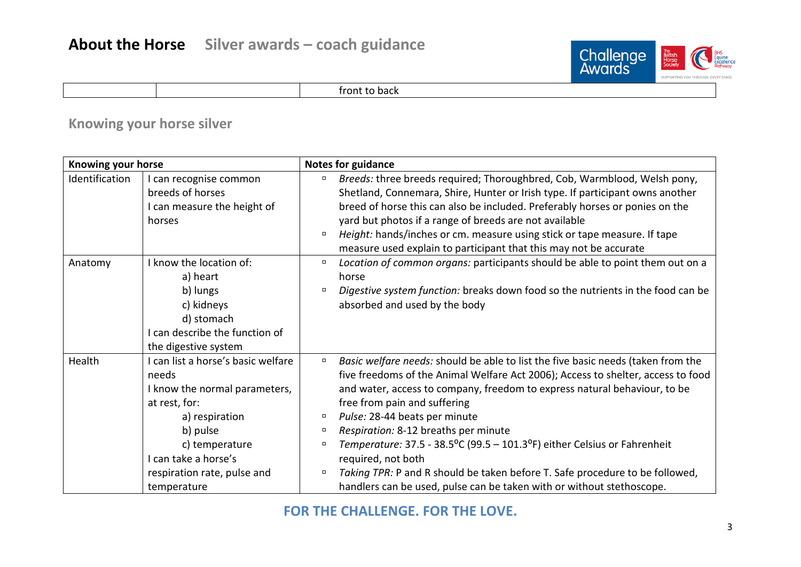

front to back

## **Knowing your horse silver**

| Knowing your horse |                                                                                                                                                                                                                     | <b>Notes for guidance</b>            |                                                                                                                                                                                                                                                                                                                                                                                                                                                                                                                                                                                                                                |  |  |
|--------------------|---------------------------------------------------------------------------------------------------------------------------------------------------------------------------------------------------------------------|--------------------------------------|--------------------------------------------------------------------------------------------------------------------------------------------------------------------------------------------------------------------------------------------------------------------------------------------------------------------------------------------------------------------------------------------------------------------------------------------------------------------------------------------------------------------------------------------------------------------------------------------------------------------------------|--|--|
| Identification     | I can recognise common<br>breeds of horses<br>I can measure the height of                                                                                                                                           | $\Box$                               | Breeds: three breeds required; Thoroughbred, Cob, Warmblood, Welsh pony,<br>Shetland, Connemara, Shire, Hunter or Irish type. If participant owns another<br>breed of horse this can also be included. Preferably horses or ponies on the                                                                                                                                                                                                                                                                                                                                                                                      |  |  |
|                    | horses                                                                                                                                                                                                              | о                                    | yard but photos if a range of breeds are not available<br>Height: hands/inches or cm. measure using stick or tape measure. If tape<br>measure used explain to participant that this may not be accurate                                                                                                                                                                                                                                                                                                                                                                                                                        |  |  |
| Anatomy            | I know the location of:<br>a) heart                                                                                                                                                                                 | $\Box$                               | Location of common organs: participants should be able to point them out on a<br>horse                                                                                                                                                                                                                                                                                                                                                                                                                                                                                                                                         |  |  |
|                    | b) lungs<br>c) kidneys<br>d) stomach<br>can describe the function of<br>the digestive system                                                                                                                        | $\Box$                               | Digestive system function: breaks down food so the nutrients in the food can be<br>absorbed and used by the body                                                                                                                                                                                                                                                                                                                                                                                                                                                                                                               |  |  |
| Health             | I can list a horse's basic welfare<br>needs<br>I know the normal parameters,<br>at rest, for:<br>a) respiration<br>b) pulse<br>c) temperature<br>I can take a horse's<br>respiration rate, pulse and<br>temperature | $\Box$<br>о<br>0<br>$\Box$<br>$\Box$ | Basic welfare needs: should be able to list the five basic needs (taken from the<br>five freedoms of the Animal Welfare Act 2006); Access to shelter, access to food<br>and water, access to company, freedom to express natural behaviour, to be<br>free from pain and suffering<br>Pulse: 28-44 beats per minute<br>Respiration: 8-12 breaths per minute<br>Temperature: $37.5 - 38.5^{\circ}C$ (99.5 – 101.3°F) either Celsius or Fahrenheit<br>required, not both<br>Taking TPR: P and R should be taken before T. Safe procedure to be followed,<br>handlers can be used, pulse can be taken with or without stethoscope. |  |  |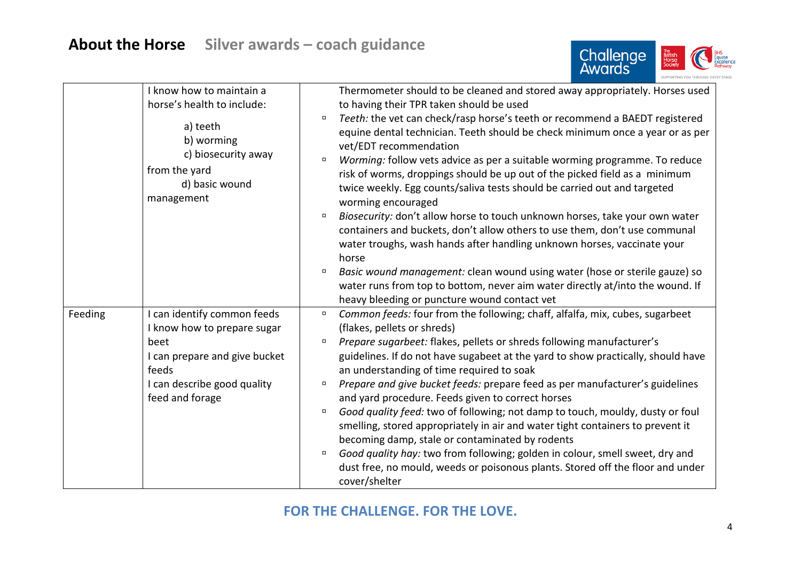

|         | I know how to maintain a<br>horse's health to include:<br>a) teeth<br>b) worming<br>c) biosecurity away<br>from the yard<br>d) basic wound<br>management       | Thermometer should to be cleaned and stored away appropriately. Horses used<br>to having their TPR taken should be used<br>Teeth: the vet can check/rasp horse's teeth or recommend a BAEDT registered<br>equine dental technician. Teeth should be check minimum once a year or as per<br>vet/EDT recommendation<br>Worming: follow vets advice as per a suitable worming programme. To reduce<br>$\Box$<br>risk of worms, droppings should be up out of the picked field as a minimum<br>twice weekly. Egg counts/saliva tests should be carried out and targeted<br>worming encouraged<br>Biosecurity: don't allow horse to touch unknown horses, take your own water<br>containers and buckets, don't allow others to use them, don't use communal<br>water troughs, wash hands after handling unknown horses, vaccinate your<br>horse<br>Basic wound management: clean wound using water (hose or sterile gauze) so<br>water runs from top to bottom, never aim water directly at/into the wound. If<br>heavy bleeding or puncture wound contact vet |
|---------|----------------------------------------------------------------------------------------------------------------------------------------------------------------|-----------------------------------------------------------------------------------------------------------------------------------------------------------------------------------------------------------------------------------------------------------------------------------------------------------------------------------------------------------------------------------------------------------------------------------------------------------------------------------------------------------------------------------------------------------------------------------------------------------------------------------------------------------------------------------------------------------------------------------------------------------------------------------------------------------------------------------------------------------------------------------------------------------------------------------------------------------------------------------------------------------------------------------------------------------|
| Feeding | I can identify common feeds<br>I know how to prepare sugar<br>beet<br>I can prepare and give bucket<br>feeds<br>I can describe good quality<br>feed and forage | Common feeds: four from the following; chaff, alfalfa, mix, cubes, sugarbeet<br>$\Box$<br>(flakes, pellets or shreds)<br>Prepare sugarbeet: flakes, pellets or shreds following manufacturer's<br>$\Box$<br>guidelines. If do not have sugabeet at the yard to show practically, should have<br>an understanding of time required to soak<br>Prepare and give bucket feeds: prepare feed as per manufacturer's guidelines<br>$\Box$<br>and yard procedure. Feeds given to correct horses<br>Good quality feed: two of following; not damp to touch, mouldy, dusty or foul<br>$\Box$<br>smelling, stored appropriately in air and water tight containers to prevent it<br>becoming damp, stale or contaminated by rodents<br>Good quality hay: two from following; golden in colour, smell sweet, dry and<br>$\Box$<br>dust free, no mould, weeds or poisonous plants. Stored off the floor and under<br>cover/shelter                                                                                                                                     |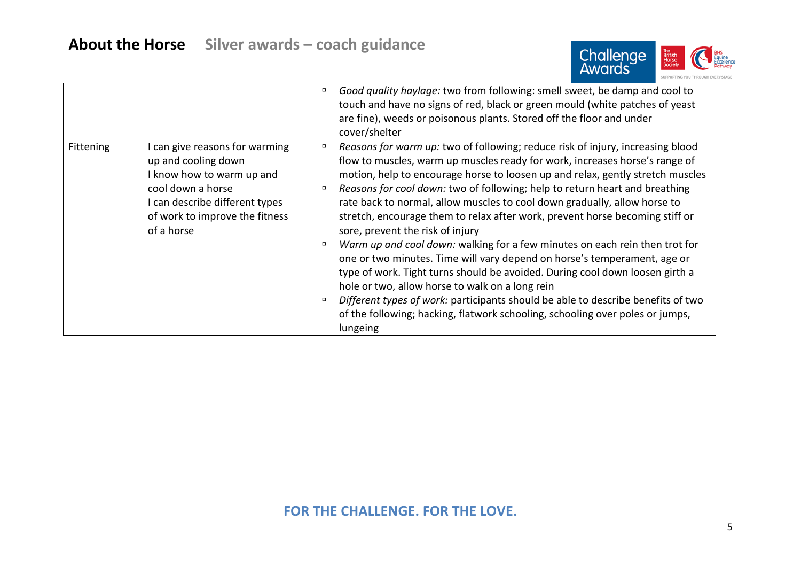

|           |                                                                                                                                                                                           | Good quality haylage: two from following: smell sweet, be damp and cool to<br>α<br>touch and have no signs of red, black or green mould (white patches of yeast<br>are fine), weeds or poisonous plants. Stored off the floor and under<br>cover/shelter                                                                                                                                                                                                                                                                                                                                                                                                                                                                                                                                                                                                                                                                                                                                                                                     |
|-----------|-------------------------------------------------------------------------------------------------------------------------------------------------------------------------------------------|----------------------------------------------------------------------------------------------------------------------------------------------------------------------------------------------------------------------------------------------------------------------------------------------------------------------------------------------------------------------------------------------------------------------------------------------------------------------------------------------------------------------------------------------------------------------------------------------------------------------------------------------------------------------------------------------------------------------------------------------------------------------------------------------------------------------------------------------------------------------------------------------------------------------------------------------------------------------------------------------------------------------------------------------|
| Fittening | I can give reasons for warming<br>up and cooling down<br>I know how to warm up and<br>cool down a horse<br>I can describe different types<br>of work to improve the fitness<br>of a horse | Reasons for warm up: two of following; reduce risk of injury, increasing blood<br>$\Box$<br>flow to muscles, warm up muscles ready for work, increases horse's range of<br>motion, help to encourage horse to loosen up and relax, gently stretch muscles<br>Reasons for cool down: two of following; help to return heart and breathing<br>rate back to normal, allow muscles to cool down gradually, allow horse to<br>stretch, encourage them to relax after work, prevent horse becoming stiff or<br>sore, prevent the risk of injury<br>Warm up and cool down: walking for a few minutes on each rein then trot for<br>$\Box$<br>one or two minutes. Time will vary depend on horse's temperament, age or<br>type of work. Tight turns should be avoided. During cool down loosen girth a<br>hole or two, allow horse to walk on a long rein<br>Different types of work: participants should be able to describe benefits of two<br>$\Box$<br>of the following; hacking, flatwork schooling, schooling over poles or jumps,<br>lungeing |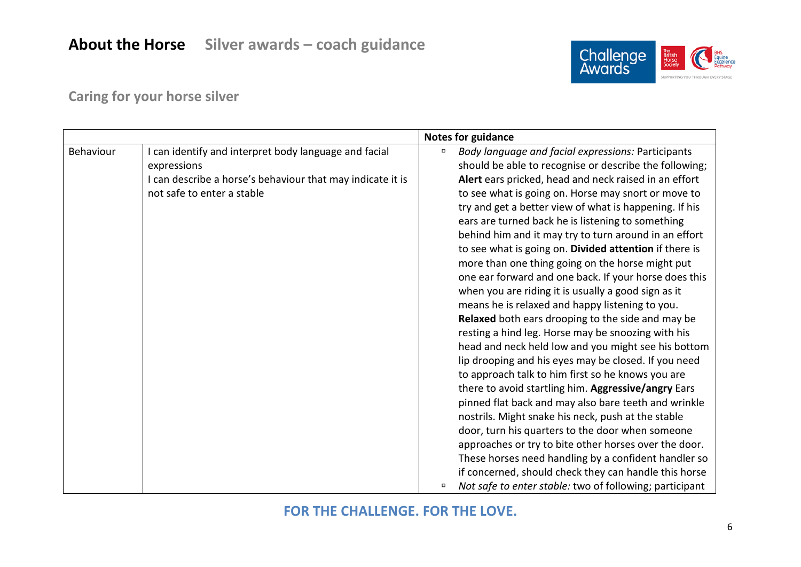# **About the Horse Silver awards – coach guidance**



## **Caring for your horse silver**

|           |                                                                                                                                                                  |        | Notes for guidance                                                                                                                                                                                                                                                                                                                                                                                                                                                                                                                                                                                                                                                                                                                                                                                                                                                                                                                                                                                                                                                                                                                                                                                                                                     |
|-----------|------------------------------------------------------------------------------------------------------------------------------------------------------------------|--------|--------------------------------------------------------------------------------------------------------------------------------------------------------------------------------------------------------------------------------------------------------------------------------------------------------------------------------------------------------------------------------------------------------------------------------------------------------------------------------------------------------------------------------------------------------------------------------------------------------------------------------------------------------------------------------------------------------------------------------------------------------------------------------------------------------------------------------------------------------------------------------------------------------------------------------------------------------------------------------------------------------------------------------------------------------------------------------------------------------------------------------------------------------------------------------------------------------------------------------------------------------|
| Behaviour | I can identify and interpret body language and facial<br>expressions<br>I can describe a horse's behaviour that may indicate it is<br>not safe to enter a stable | $\Box$ | Body language and facial expressions: Participants<br>should be able to recognise or describe the following;<br>Alert ears pricked, head and neck raised in an effort<br>to see what is going on. Horse may snort or move to<br>try and get a better view of what is happening. If his<br>ears are turned back he is listening to something<br>behind him and it may try to turn around in an effort<br>to see what is going on. Divided attention if there is<br>more than one thing going on the horse might put<br>one ear forward and one back. If your horse does this<br>when you are riding it is usually a good sign as it<br>means he is relaxed and happy listening to you.<br>Relaxed both ears drooping to the side and may be<br>resting a hind leg. Horse may be snoozing with his<br>head and neck held low and you might see his bottom<br>lip drooping and his eyes may be closed. If you need<br>to approach talk to him first so he knows you are<br>there to avoid startling him. Aggressive/angry Ears<br>pinned flat back and may also bare teeth and wrinkle<br>nostrils. Might snake his neck, push at the stable<br>door, turn his quarters to the door when someone<br>approaches or try to bite other horses over the door. |
|           |                                                                                                                                                                  | σ      | These horses need handling by a confident handler so<br>if concerned, should check they can handle this horse<br>Not safe to enter stable: two of following; participant                                                                                                                                                                                                                                                                                                                                                                                                                                                                                                                                                                                                                                                                                                                                                                                                                                                                                                                                                                                                                                                                               |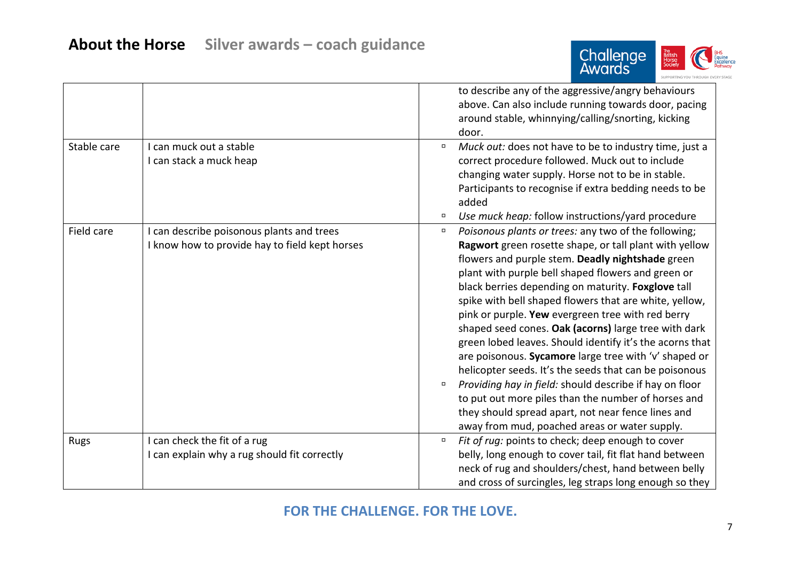

|             |                                                                                             |                  | to describe any of the aggressive/angry behaviours<br>above. Can also include running towards door, pacing<br>around stable, whinnying/calling/snorting, kicking<br>door.                                                                                                                                                                                                                                                                                                                                                                                                                                                                                                                                                                                                                                                                                     |
|-------------|---------------------------------------------------------------------------------------------|------------------|---------------------------------------------------------------------------------------------------------------------------------------------------------------------------------------------------------------------------------------------------------------------------------------------------------------------------------------------------------------------------------------------------------------------------------------------------------------------------------------------------------------------------------------------------------------------------------------------------------------------------------------------------------------------------------------------------------------------------------------------------------------------------------------------------------------------------------------------------------------|
| Stable care | I can muck out a stable<br>I can stack a muck heap                                          | $\Box$<br>$\Box$ | Muck out: does not have to be to industry time, just a<br>correct procedure followed. Muck out to include<br>changing water supply. Horse not to be in stable.<br>Participants to recognise if extra bedding needs to be<br>added<br>Use muck heap: follow instructions/yard procedure                                                                                                                                                                                                                                                                                                                                                                                                                                                                                                                                                                        |
| Field care  | I can describe poisonous plants and trees<br>I know how to provide hay to field kept horses | $\Box$<br>$\Box$ | Poisonous plants or trees: any two of the following;<br>Ragwort green rosette shape, or tall plant with yellow<br>flowers and purple stem. Deadly nightshade green<br>plant with purple bell shaped flowers and green or<br>black berries depending on maturity. Foxglove tall<br>spike with bell shaped flowers that are white, yellow,<br>pink or purple. Yew evergreen tree with red berry<br>shaped seed cones. Oak (acorns) large tree with dark<br>green lobed leaves. Should identify it's the acorns that<br>are poisonous. Sycamore large tree with 'v' shaped or<br>helicopter seeds. It's the seeds that can be poisonous<br>Providing hay in field: should describe if hay on floor<br>to put out more piles than the number of horses and<br>they should spread apart, not near fence lines and<br>away from mud, poached areas or water supply. |
| <b>Rugs</b> | I can check the fit of a rug<br>I can explain why a rug should fit correctly                | $\Box$           | Fit of rug: points to check; deep enough to cover<br>belly, long enough to cover tail, fit flat hand between<br>neck of rug and shoulders/chest, hand between belly<br>and cross of surcingles, leg straps long enough so they                                                                                                                                                                                                                                                                                                                                                                                                                                                                                                                                                                                                                                |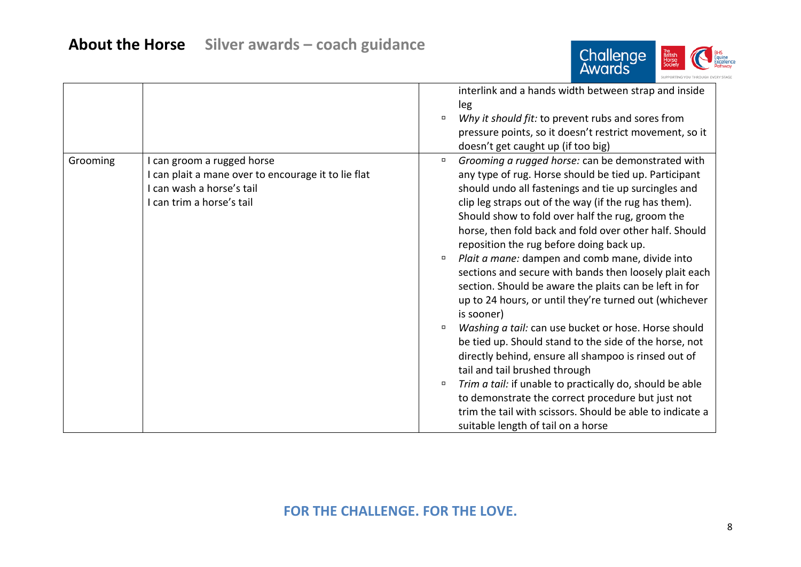

|          |                                                                                                                                             | $\Box$                               | interlink and a hands width between strap and inside<br>leg<br>Why it should fit: to prevent rubs and sores from<br>pressure points, so it doesn't restrict movement, so it<br>doesn't get caught up (if too big)                                                                                                                                                                                                                                                                                                                                                                                                                                                                                                                                                                                                                                                                                                                                                                                                                                                   |
|----------|---------------------------------------------------------------------------------------------------------------------------------------------|--------------------------------------|---------------------------------------------------------------------------------------------------------------------------------------------------------------------------------------------------------------------------------------------------------------------------------------------------------------------------------------------------------------------------------------------------------------------------------------------------------------------------------------------------------------------------------------------------------------------------------------------------------------------------------------------------------------------------------------------------------------------------------------------------------------------------------------------------------------------------------------------------------------------------------------------------------------------------------------------------------------------------------------------------------------------------------------------------------------------|
| Grooming | I can groom a rugged horse<br>I can plait a mane over to encourage it to lie flat<br>I can wash a horse's tail<br>I can trim a horse's tail | $\Box$<br>$\Box$<br>$\Box$<br>$\Box$ | Grooming a rugged horse: can be demonstrated with<br>any type of rug. Horse should be tied up. Participant<br>should undo all fastenings and tie up surcingles and<br>clip leg straps out of the way (if the rug has them).<br>Should show to fold over half the rug, groom the<br>horse, then fold back and fold over other half. Should<br>reposition the rug before doing back up.<br>Plait a mane: dampen and comb mane, divide into<br>sections and secure with bands then loosely plait each<br>section. Should be aware the plaits can be left in for<br>up to 24 hours, or until they're turned out (whichever<br>is sooner)<br>Washing a tail: can use bucket or hose. Horse should<br>be tied up. Should stand to the side of the horse, not<br>directly behind, ensure all shampoo is rinsed out of<br>tail and tail brushed through<br>Trim a tail: if unable to practically do, should be able<br>to demonstrate the correct procedure but just not<br>trim the tail with scissors. Should be able to indicate a<br>suitable length of tail on a horse |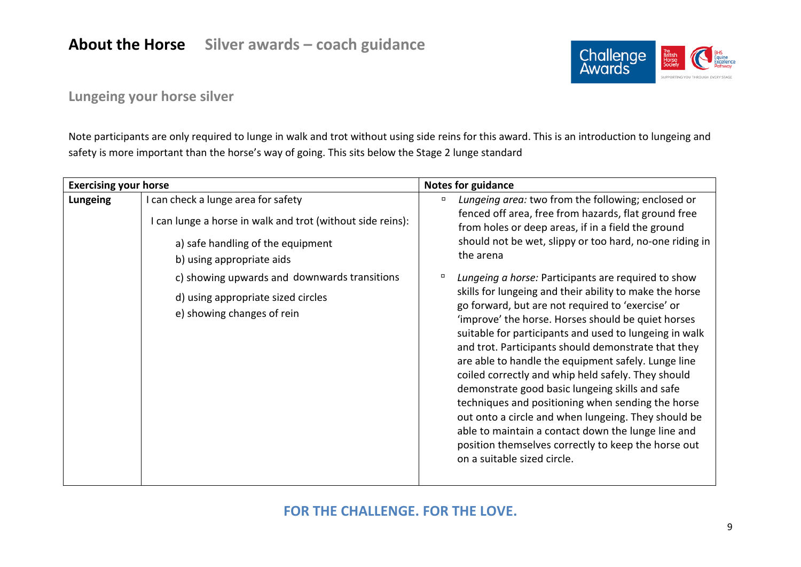## **About the Horse Silver awards – coach guidance**



## **Lungeing your horse silver**

Note participants are only required to lunge in walk and trot without using side reins for this award. This is an introduction to lungeing and safety is more important than the horse's way of going. This sits below the Stage 2 lunge standard

| <b>Exercising your horse</b> |                                                                                                                                                                                                                                                                                         | <b>Notes for guidance</b> |                                                                                                                                                                                                                                                                                                                                                                                                                                                                                                                                                                                                                                                                                                                                                                                                                                                                                                                                                                                                                |  |
|------------------------------|-----------------------------------------------------------------------------------------------------------------------------------------------------------------------------------------------------------------------------------------------------------------------------------------|---------------------------|----------------------------------------------------------------------------------------------------------------------------------------------------------------------------------------------------------------------------------------------------------------------------------------------------------------------------------------------------------------------------------------------------------------------------------------------------------------------------------------------------------------------------------------------------------------------------------------------------------------------------------------------------------------------------------------------------------------------------------------------------------------------------------------------------------------------------------------------------------------------------------------------------------------------------------------------------------------------------------------------------------------|--|
| <b>Lungeing</b>              | I can check a lunge area for safety<br>I can lunge a horse in walk and trot (without side reins):<br>a) safe handling of the equipment<br>b) using appropriate aids<br>c) showing upwards and downwards transitions<br>d) using appropriate sized circles<br>e) showing changes of rein | п<br>о                    | Lungeing area: two from the following; enclosed or<br>fenced off area, free from hazards, flat ground free<br>from holes or deep areas, if in a field the ground<br>should not be wet, slippy or too hard, no-one riding in<br>the arena<br>Lungeing a horse: Participants are required to show<br>skills for lungeing and their ability to make the horse<br>go forward, but are not required to 'exercise' or<br>'improve' the horse. Horses should be quiet horses<br>suitable for participants and used to lungeing in walk<br>and trot. Participants should demonstrate that they<br>are able to handle the equipment safely. Lunge line<br>coiled correctly and whip held safely. They should<br>demonstrate good basic lungeing skills and safe<br>techniques and positioning when sending the horse<br>out onto a circle and when lungeing. They should be<br>able to maintain a contact down the lunge line and<br>position themselves correctly to keep the horse out<br>on a suitable sized circle. |  |